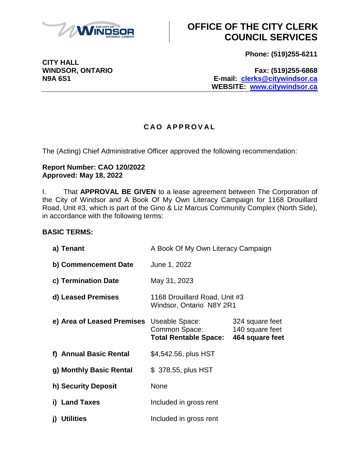

# **OFFICE OF THE CITY CLERK COUNCIL SERVICES**

**Phone: (519)255-6211**

**WINDSOR, ONTARIO Fax: (519)255-6868 N9A 6S1 E-mail: [clerks@citywindsor.ca](mailto:clerks@citywindsor.ca) WEBSITE: [www.citywindsor.ca](http://www.citywindsor.ca/)**

### **C A O A P P R O V A L**

The (Acting) Chief Administrative Officer approved the following recommendation:

#### **Report Number: CAO 120/2022 Approved: May 18, 2022**

I. That **APPROVAL BE GIVEN** to a lease agreement between The Corporation of the City of Windsor and A Book Of My Own Literacy Campaign for 1168 Drouillard Road, Unit #3, which is part of the Gino & Liz Marcus Community Complex (North Side), in accordance with the following terms:

### **BASIC TERMS:**

| a) Tenant                  | A Book Of My Own Literacy Campaign                              |                                                       |
|----------------------------|-----------------------------------------------------------------|-------------------------------------------------------|
| b) Commencement Date       | June 1, 2022                                                    |                                                       |
| c) Termination Date        | May 31, 2023                                                    |                                                       |
| d) Leased Premises         | 1168 Drouillard Road, Unit #3<br>Windsor, Ontario N8Y 2R1       |                                                       |
| e) Area of Leased Premises | Useable Space:<br>Common Space:<br><b>Total Rentable Space:</b> | 324 square feet<br>140 square feet<br>464 square feet |
| f) Annual Basic Rental     | \$4,542.56, plus HST                                            |                                                       |
| g) Monthly Basic Rental    | \$ 378.55, plus HST                                             |                                                       |
| h) Security Deposit        | None                                                            |                                                       |
| i) Land Taxes              | Included in gross rent                                          |                                                       |
| <b>Utilities</b><br>j)     | Included in gross rent                                          |                                                       |

**CITY HALL**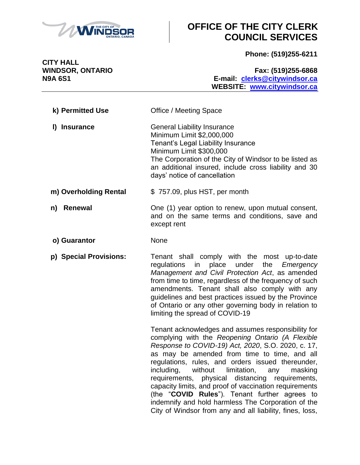

# **OFFICE OF THE CITY CLERK COUNCIL SERVICES**

**Phone: (519)255-6211**

**CITY HALL**

**WINDSOR, ONTARIO Fax: (519)255-6868 N9A 6S1 E-mail: [clerks@citywindsor.ca](mailto:clerks@citywindsor.ca) WEBSITE: [www.citywindsor.ca](http://www.citywindsor.ca/)**

| k) Permitted Use      | Office / Meeting Space                                                                                                                                                                                                                                                              |
|-----------------------|-------------------------------------------------------------------------------------------------------------------------------------------------------------------------------------------------------------------------------------------------------------------------------------|
| <b>Insurance</b>      | <b>General Liability Insurance</b><br>Minimum Limit \$2,000,000<br>Tenant's Legal Liability Insurance<br>Minimum Limit \$300,000<br>The Corporation of the City of Windsor to be listed as<br>an additional insured, include cross liability and 30<br>days' notice of cancellation |
| m) Overholding Rental | \$757.09, plus HST, per month                                                                                                                                                                                                                                                       |
| <b>Renewal</b><br>n)  | One (1) year option to renew, upon mutual consent,<br>and on the same terms and conditions, save and<br>except rent                                                                                                                                                                 |

**o) Guarantor** None

**p) Special Provisions:** Tenant shall comply with the most up-to-date regulations in place under the *Emergency Management and Civil Protection Act*, as amended from time to time, regardless of the frequency of such amendments. Tenant shall also comply with any guidelines and best practices issued by the Province of Ontario or any other governing body in relation to limiting the spread of COVID-19

> Tenant acknowledges and assumes responsibility for complying with the *Reopening Ontario (A Flexible Response to COVID-19) Act, 2020*, S.O. 2020, c. 17, as may be amended from time to time, and all regulations, rules, and orders issued thereunder, including, without limitation, any masking requirements, physical distancing requirements, capacity limits, and proof of vaccination requirements (the "**COVID Rules**"). Tenant further agrees to indemnify and hold harmless The Corporation of the City of Windsor from any and all liability, fines, loss,